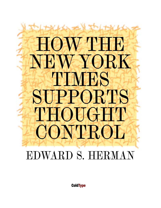# HOW THE NEW YORK TIM HS SUPPORTS THOUGHT CONTROL

## EDWARD S. HERMAN

**ColdType**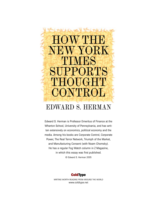## HOWTHE K H'N ORTS THOUGHT CONTROL EDWARD S. HERMAN

Edward S. Herman is Professor Emeritus of Finance at the Wharton School, University of Pennsylvania, and has written extensively on economics, political economy and the media. Among his books are Corporate Control, Corporate Power, The Real Terror Network, Triumph of the Market, and Manufacturing Consent (with Noam Chomsky). He has a regular Fog Watch column in Z Magazine, in which this essay was first published. © Edward S. Herman 2005



WRITING WORTH READING FROM AROUND THE WORLD www.coldtype.net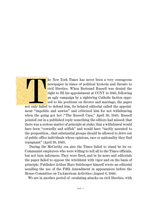he New York Times has never been a very courageous<br>newspaper in times of political hysteria and threats to<br>civil liberties. When Bertrand Russell was denied the<br>right to fill his appointment at CCNY in 1940, following<br>an u newspaper in times of political hysteria and threats to civil liberties. When Bertrand Russell was denied the right to fill his appointment at CCNY in 1940, following an ugly campaign by a rightwing Catholic faction opposed to his positions on divorce and marriage, the paper

ment "impolitic and unwise" and criticized him for not withdrawing when the going got hot ("The Russell Case," April 20, 1940). Russell pointed out in a published reply something the editors had missed: that there was a serious matter of principle at stake; that a withdrawal would have been "cowardly and selfish" and would have "tacitly assented to the proposition…that substantial groups should be allowed to drive out of public office individuals whose opinions, race or nationality they find repugnant" (April 26, 1940).

During the McCarthy era also the Times failed to stand by its ex-Communist employees who were willing to tell all to the Times officials, but not turn informers. They were fired, and in its news and editorials the paper failed to oppose the witchhunt with vigor and on the basis of principle. Publisher Arthur Hays Sulzberger himself wrote an editorial assailing the use of the Fifth Amendment in appearances before the House Committee on UnAmerican Activities (August 6, 1948).

We are in another period of escalating attacks on civil liberties, with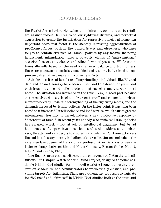the Patriot Act, a lawless rightwing administration, open threats to retaliate against judicial failures to follow rightwing dictates, and perpetual aggression to create the justification for repressive policies at home. An important additional factor is the steadily increasing aggressiveness of pro-Zionist forces, both in the United States and elsewhere, who have fought to contain criticism of Israeli policies by any means, including harassment, intimidation, threats, boycotts, claims of "anti-semitism," occasional resort to violence, and other forms of pressure. While sometimes allegedly based on the need for fairness, balance and truthfulness, these campaigns are completely one-sided and are invariably aimed at suppressing alternative views and inconvenient facts.

Attacks on critics of Israel are of long standing – individuals like Edward Said and Noam Chomsky have been vilified and threatened for years, and both frequently needed police protection at speech venues, at work or at home. The situation has worsened in the Bush-2 era, in good part because of the cultivated hysteria of the "war on terror" and congenial environment provided by Bush, the strengthening of the rightwing media, and the demands imposed by Israeli policies. On the latter point, it has long been noted that increased Israeli violence and land seizure, which causes greater international hostility to Israel, induces a new protective response by "defenders of Israel." In recent years nobody who criticizes Israeli policies has escaped attack – not attack by intellectual argument, but by ad hominem assault, spam invasions, the use of stolen addresses to embarrass, threats, and campaigns to discredit and silence. For these attackers the end justifies any means, including, of course, lies (for one episode in the extensive lying career of Harvard law professor Alan Dershowitz, see the letter exchange between him and Noam Chomsky, Boston Globe, May 17, May 25 and June 5, 1973).

The Bush-Sharon era has witnessed the emergence of McCarthyite institutions like Campus Watch and the David Project, designed to police academic Middle East studies for un-Israeli-patriotic thoughts, putting pressure on academics and administrators to intellectually cleanse, and providing targets for vigilantism. There are even current proposals to legislate for "balance" and "fairness" in Middle East studies both at the state and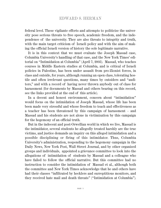federal level. These vigilante efforts and attempts to politicize the university pose serious threats to free speech, academic freedom, and the independence of the university. They are also threats to integrity and truth, with the main target criticism of Israeli policy and with the aim of making the official Israeli version of history the sole legitimate narrative.

It is in this context that we must evaluate the Joseph Massad case, Columbia University's handling of that case, and the New York Times' editorial on "Intimidation at Columbia" (April 7, 2005). Massad, who teaches courses in Middle Eastern studies at Columbia, and is critical of Israeli policies in Palestine, has been under assault from pro-Zionist forces, in class and outside, for years, although running an open class, tolerating hostile and often irrelevant questions, many times by outsiders and "auditors," and with a record of having never thrown anybody out of class for harassment (for documents by Massad and others bearing on this record, see the links provided at the end of this article).

In a decent and honest environment, concern about "intimidation" would focus on the intimidation of Joseph Massad, whose life has been been made very stressful and whose freedom to teach and effectiveness as a teacher has been threatened by this campaign of harassment – and Massad and his students are not alone in victimization by this campaign for the hegemony of an official truth.

But in the indecent and post-Orwellian world in which we live, Massad is the intimidator, several students he allegedly treated harshly are the true victims, and justice demands an inquiry on this alleged intimidation and a possible disciplining or firing of this intimidator. Thus, Columbia University's administration, responding to the hegemony campaign in the Daily News, New York Post, Wall Street Journal, and by other organized groups and individuals, appointed a grievance committee to look into the allegations of intimidation of students by Massad and a colleague who have failed to follow the official narrative. But this committee had no instruction to consider the intimidation of Massad et al., although both the committee and New York Times acknowledge that he and others have had their classes "infiltrated by hecklers and surreptitious monitors, and they received hate mail and death threats" ("Intimidation at Columbia").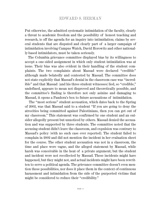Put otherwise, the admitted systematic intimidation of the faculty, clearly a threat to academic freedom and the possibility of honest teaching and research, is off the agenda for an inquiry into intimidation; claims by several students that are disputed and clearly part of a larger campaign of intimidation involving Campus Watch, David Horowitz and other nationally-based intimidators, must be taken seriously.

The Columbia grievance committee displayed bias by its willingness to accept a one-sided assignment in which only student intimidation was at issue. Their bias was also evident in their handling of the student complaints. The two complaints about Massad were declared "credible" although made belatedly and contested by Massad. The committee does not state explicitly that Massad's denial in the classroom case was "incredible" and that Massad (and his three student witnesses) lied, so "credible," undefined, appears to mean not disproved and theoretically possible, and the committee's finding is therefore not only asinine and damaging to Massad, it opens a Pandora's box to future accusations of intimidation.

The "most serious" student accusation, which dates back to the Spring of 2002, was that Massad said to a student "If you are going to deny the atrocities being committed against Palestinians, then you can get out of my classroom." This statement was confirmed by one student and an outsider allegedly present but unnoticed by others. Massad denied the accusation and was supported by three students. The committee noted that the accusing student didn't leave the classroom, and expulsion was contrary to Massad's policy (with no such case ever reported). The student failed to complain in 2002 and did not mention the incident in her evaluation sheet for the course. The other student accusation was not in a classroom, the time and place were vague, and the alleged statement by Massad, while harsh was conceivable in the heat of a private argument; but the student and incident were not recollected by Massad. These incidents might have happened, but they might not, and actual incidents might have been rewritten to serve a political agenda. The grievance committee doesn't even mention these possibilities, nor does it place them in the context of continuous harassment and intimidation from the side of the purported victims that might be considered to reduce their "credibility."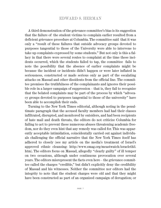A third demonstration of the grievance committee's bias is its suggestion that the failure of the student victims to complain earlier resulted from a deficient grievance procedure at Columbia. The committee said that it was only a "result of these failures that outside advocacy groups devoted to purposes tangential to those of the University were able to intervene to take up complaints expressed by some students." But not only is this a fallacy in that there were several routes to complaint at the time these incidents occurred, which the students failed to tap, the committee fails to note the possibility that the absence of earlier complaints might be because the incident or incidents didn't happen or were later inflated in seriousness, constructed or made serious only as part of the escalating attacks on Massad and other dissidents from the official line. The committee premises the truthfulness of the complainants and ignores their possible role in a larger campaign of suppression – that is, they fail to recognize that the belated complaints may be part of the process by which "advocacy groups devoted to purposes tangential to those of the university" have been able to accomplish their ends.

Turning to the New York Times editorial, although noting in the penultimate paragraph that the accused faculty members had had their classes infiltrated, disrupted, and monitored by outsiders, and had been recipients of hate mail and death threats, the editors do not criticize Columbia for failing to act to prevent these numerous abuses threatening academic freedom, nor do they even hint that any remedy was called for. This was apparently acceptable intimidation, coincidentally carried out against individuals challenging the official narrative that the New York Times itself has adhered to closely (see my article on the media's treatment of Israel's approved ethnic cleansing: http://www.zmag.org/meastwatch/israeleth3. htm). The editors focus on Massad, allegedly "clearly guilty" of ill temper on two occasions, although under continuous provocation over several years. The editors misrepresent the facts even here – the grievance committee called the charges "credible," but didn't explicitly deny the credibility of Massad and his witnesses. Neither the committee nor editors had the integrity to note that the student charges were old and that they might have been constructed as part of an organized campaign of derogation; or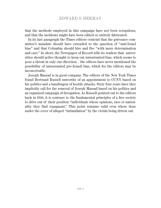that the methods employed in this campaign have not been scrupulous, and that the incidents might have been edited or entirely fabricated.

In its last paragraph the Times editors contend that the grievance committee's mandate should have extended to the question of "anti-Israel bias" and that Columbia should hire and fire "with more determination and care." In short, the Newspaper of Record tells its readers that universities should police thought to keep out unwarranted bias, which seems to pose a threat in only one direction – the editors have never mentioned the possibility of unwarranted pro-Israeli bias, which for the editors may be inconceivable.

Joseph Massad is in good company. The editors of the New York Times found Bertrand Russell unworthy of an appointment to CCNY based on his politics and a bandwagon of hostile attacks. Sixty four years later they implicitly call for the removal of Joseph Massad based on his politics and an organized campaign of derogation. As Russell pointed out to the editors back in 1940, it is contrary to the fundamental principles of a free society to drive out of their position "individuals whose opinions, race or nationality they find repugnant." This point remains valid even where done under the cover of alleged "intimidation" by the victim being driven out.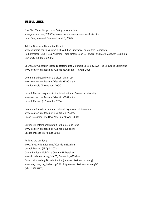#### **USEFUL LINKS**

New York Times Supports McCarthyite Witch Hunt www.juancole.com/2005/04/new-york-times-supports-mccarthyite.html Juan Cole, Informed Comment (April 8, 2005)

Ad Hoc Grievance Committee Report www.columbia.edu/cu/news/05/03/ad\_hoc\_grievance\_committee\_report.html Ira Katznelson, Chair; Lisa Anderson; Farah Griffin; Jean E. Howard; and Mark Mazower, Columbia University (28 March 2005)

EI EXCLUSIVE: Joseph Massad's statement to Columbia University's Ad Hoc Grievance Committee www.electronicintifada.net/v2/article3742.shtml (5 April 2005)

Columbia Unbecoming in the clear light of day www.electronicintifada.net/v2/article3296.shtml Monique Dols (5 November 2004)

Joseph Massad responds to the intimidation of Columbia University www.electronicintifada.net/v2/article3282.shtml Joseph Massad (3 November 2004)

Columbia Considers Limits on Political Expression at University www.electronicintifada.net/v2/article2677.shtml Jacob Gershman, The New York Sun (19 April 2004)

Curriculum reform should start in the U.S. and Israel www.electronicintifada.net/v2/article1825.shtml Joseph Massad (18 August 2003)

Policing the academy www./electronicintifada.net/v2/article1362.shtml Joseph Massad (14 April 2003) Can a 'Patriotic' Mob Take Over the Universities? www.dissidentvoice.org/Mar05/Kimmerling0329.htm Baruch Kimmerling, Dissident Voice [or: www.dissidentvoice.org] www.blog.zmag.org/index.php?URL=http://www.dissidentvoice.org%5d (March 29, 2005)